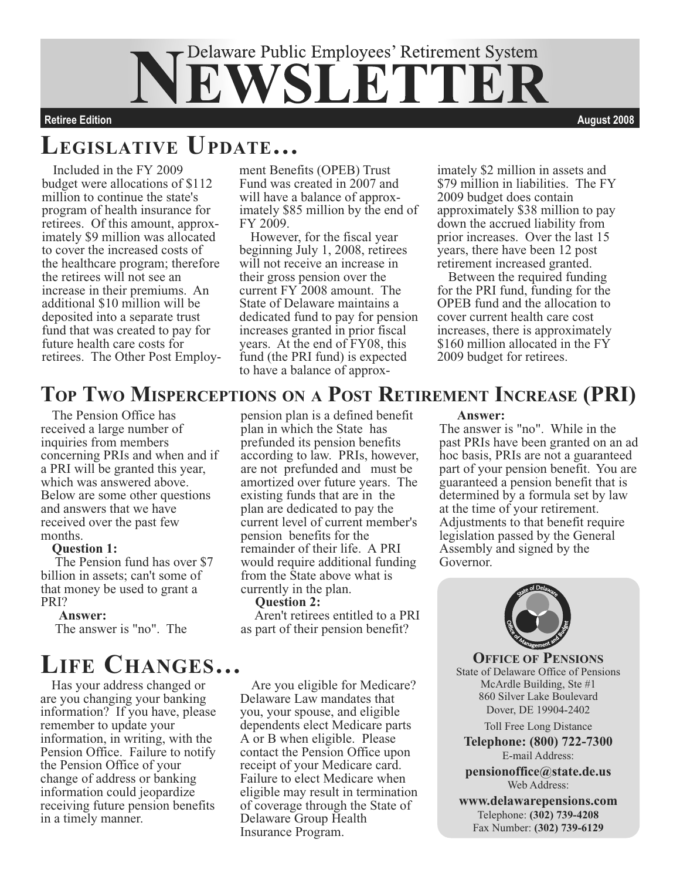# Delaware Public Employees' Retirement System ETTIE

**Retiree Edition August 2008**

### **LEGISLATIVE UPDATE…**

Included in the FY 2009 budget were allocations of \$112 million to continue the state's program of health insurance for retirees. Of this amount, approximately \$9 million was allocated to cover the increased costs of the healthcare program; therefore the retirees will not see an increase in their premiums. An additional \$10 million will be deposited into a separate trust fund that was created to pay for future health care costs for retirees. The Other Post Employment Benefits (OPEB) Trust Fund was created in 2007 and will have a balance of approximately \$85 million by the end of FY 2009.

However, for the fiscal year beginning July 1, 2008, retirees will not receive an increase in their gross pension over the current FY 2008 amount. The State of Delaware maintains a dedicated fund to pay for pension increases granted in prior fiscal years. At the end of FY08, this fund (the PRI fund) is expected to have a balance of approximately \$2 million in assets and \$79 million in liabilities. The FY 2009 budget does contain approximately \$38 million to pay down the accrued liability from prior increases. Over the last 15 years, there have been 12 post retirement increased granted.

Between the required funding for the PRI fund, funding for the OPEB fund and the allocation to cover current health care cost increases, there is approximately \$160 million allocated in the FY 2009 budget for retirees.

### **TOP TWO MISPERCEPTIONS ON A POST RETIREMENT INCREASE (PRI)**

The Pension Office has received a large number of inquiries from members concerning PRIs and when and if a PRI will be granted this year, which was answered above. Below are some other questions and answers that we have received over the past few months.

#### **Question 1:**

 The Pension fund has over \$7 billion in assets; can't some of that money be used to grant a PRI?

#### **Answer:**

The answer is "no". The

### **LIFE CHANGES…**

Has your address changed or are you changing your banking information? If you have, please remember to update your information, in writing, with the Pension Office. Failure to notify the Pension Office of your change of address or banking information could jeopardize receiving future pension benefits in a timely manner.

pension plan is a defined benefit plan in which the State has prefunded its pension benefits according to law. PRIs, however, are not prefunded and must be amortized over future years. The existing funds that are in the plan are dedicated to pay the current level of current member's pension benefits for the remainder of their life. A PRI would require additional funding from the State above what is currently in the plan.

#### **Question 2:**

 Aren't retirees entitled to a PRI as part of their pension benefit?

Are you eligible for Medicare? Delaware Law mandates that you, your spouse, and eligible dependents elect Medicare parts A or B when eligible. Please contact the Pension Office upon receipt of your Medicare card. Failure to elect Medicare when eligible may result in termination of coverage through the State of Delaware Group Health Insurance Program.

#### **Answer:**

The answer is "no". While in the past PRIs have been granted on an ad hoc basis, PRIs are not a guaranteed part of your pension benefit. You are guaranteed a pension benefit that is determined by a formula set by law at the time of your retirement. Adjustments to that benefit require legislation passed by the General Assembly and signed by the Governor.



**OFFICE OF PENSIONS** State of Delaware Office of Pensions McArdle Building, Ste #1 860 Silver Lake Boulevard Dover, DE 19904-2402

Toll Free Long Distance

**Telephone: (800) 722-7300** E-mail Address:

**pensionoffice@state.de.us** Web Address:

**www.delawarepensions.com** Telephone: **(302) 739-4208** Fax Number: **(302) 739-6129**